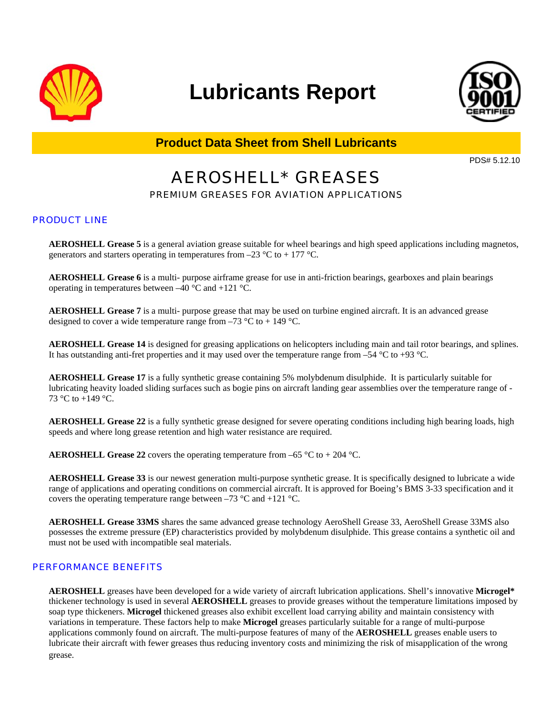

# **Lubricants Report**



**Product Data Sheet from Shell Lubricants**

PDS# 5.12.10

# AEROSHELL\* GREASES

PREMIUM GREASES FOR AVIATION APPLICATIONS

#### PRODUCT LINE

**AEROSHELL Grease 5** is a general aviation grease suitable for wheel bearings and high speed applications including magnetos, generators and starters operating in temperatures from  $-23 \text{ }^{\circ}\text{C}$  to  $+177 \text{ }^{\circ}\text{C}$ .

**AEROSHELL Grease 6** is a multi- purpose airframe grease for use in anti-friction bearings, gearboxes and plain bearings operating in temperatures between –40 °C and +121 °C.

**AEROSHELL Grease 7** is a multi- purpose grease that may be used on turbine engined aircraft. It is an advanced grease designed to cover a wide temperature range from  $-73 \degree C$  to  $+ 149 \degree C$ .

**AEROSHELL Grease 14** is designed for greasing applications on helicopters including main and tail rotor bearings, and splines. It has outstanding anti-fret properties and it may used over the temperature range from  $-54 \degree C$  to +93  $\degree C$ .

**AEROSHELL Grease 17** is a fully synthetic grease containing 5% molybdenum disulphide. It is particularly suitable for lubricating heavity loaded sliding surfaces such as bogie pins on aircraft landing gear assemblies over the temperature range of - 73 °C to  $+149$  °C.

**AEROSHELL Grease 22** is a fully synthetic grease designed for severe operating conditions including high bearing loads, high speeds and where long grease retention and high water resistance are required.

**AEROSHELL Grease 22** covers the operating temperature from  $-65^{\circ}$ C to  $+204^{\circ}$ C.

**AEROSHELL Grease 33** is our newest generation multi-purpose synthetic grease. It is specifically designed to lubricate a wide range of applications and operating conditions on commercial aircraft. It is approved for Boeing's BMS 3-33 specification and it covers the operating temperature range between  $-73 \degree C$  and  $+121 \degree C$ .

**AEROSHELL Grease 33MS** shares the same advanced grease technology AeroShell Grease 33, AeroShell Grease 33MS also possesses the extreme pressure (EP) characteristics provided by molybdenum disulphide. This grease contains a synthetic oil and must not be used with incompatible seal materials.

#### PERFORMANCE BENEFITS

**AEROSHELL** greases have been developed for a wide variety of aircraft lubrication applications. Shell's innovative **Microgel\*** thickener technology is used in several **AEROSHELL** greases to provide greases without the temperature limitations imposed by soap type thickeners. **Microgel** thickened greases also exhibit excellent load carrying ability and maintain consistency with variations in temperature. These factors help to make **Microgel** greases particularly suitable for a range of multi-purpose applications commonly found on aircraft. The multi-purpose features of many of the **AEROSHELL** greases enable users to lubricate their aircraft with fewer greases thus reducing inventory costs and minimizing the risk of misapplication of the wrong grease.